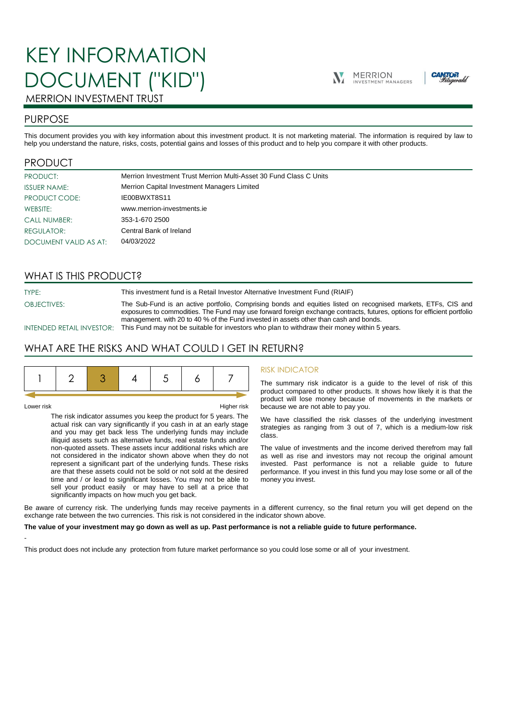# KEY INFORMATION DOCUMENT ("KID")





# MERRION INVESTMENT TRUST

# PURPOSE

This document provides you with key information about this investment product. It is not marketing material. The information is required by law to help you understand the nature, risks, costs, potential gains and losses of this product and to help you compare it with other products.

# PRODUCT

| PRODUCT:              | Merrion Investment Trust Merrion Multi-Asset 30 Fund Class C Units |  |  |
|-----------------------|--------------------------------------------------------------------|--|--|
| <b>ISSUER NAME:</b>   | Merrion Capital Investment Managers Limited                        |  |  |
| PRODUCT CODE:         | IE00BWXT8S11                                                       |  |  |
| WEBSITE:              | www.merrion-investments.ie                                         |  |  |
| <b>CALL NUMBER:</b>   | 353-1-670 2500                                                     |  |  |
| <b>REGULATOR:</b>     | Central Bank of Ireland                                            |  |  |
| DOCUMENT VALID AS AT: | 04/03/2022                                                         |  |  |

# WHAT IS THIS PRODUCT?

TYPE: This investment fund is a Retail Investor Alternative Investment Fund (RIAIF)

OBJECTIVES: The Sub-Fund is an active portfolio, Comprising bonds and equities listed on recognised markets, ETFs, CIS and

exposures to commodities. The Fund may use forward foreign exchange contracts, futures, options for efficient portfolio management. with 20 to 40 % of the Fund invested in assets other than cash and bonds. INTENDED RETAIL INVESTOR: This Fund may not be suitable for investors who plan to withdraw their money within 5 years.

# WHAT ARE THE RISKS AND WHAT COULD I GET IN RETURN?

-

Lower risk Higher risk

The risk indicator assumes you keep the product for 5 years. The actual risk can vary significantly if you cash in at an early stage and you may get back less The underlying funds may include illiquid assets such as alternative funds, real estate funds and/or non-quoted assets. These assets incur additional risks which are not considered in the indicator shown above when they do not represent a significant part of the underlying funds. These risks are that these assets could not be sold or not sold at the desired time and / or lead to significant losses. You may not be able to sell your product easily or may have to sell at a price that significantly impacts on how much you get back.

### RISK INDICATOR

The summary risk indicator is a guide to the level of risk of this product compared to other products. It shows how likely it is that the product will lose money because of movements in the markets or because we are not able to pay you.

We have classified the risk classes of the underlying investment strategies as ranging from 3 out of 7, which is a medium-low risk class.

The value of investments and the income derived therefrom may fall as well as rise and investors may not recoup the original amount invested. Past performance is not a reliable guide to future performance. If you invest in this fund you may lose some or all of the money you invest.

Be aware of currency risk. The underlying funds may receive payments in a different currency, so the final return you will get depend on the exchange rate between the two currencies. This risk is not considered in the indicator shown above.

#### **The value of your investment may go down as well as up. Past performance is not a reliable guide to future performance.**

This product does not include any protection from future market performance so you could lose some or all of your investment.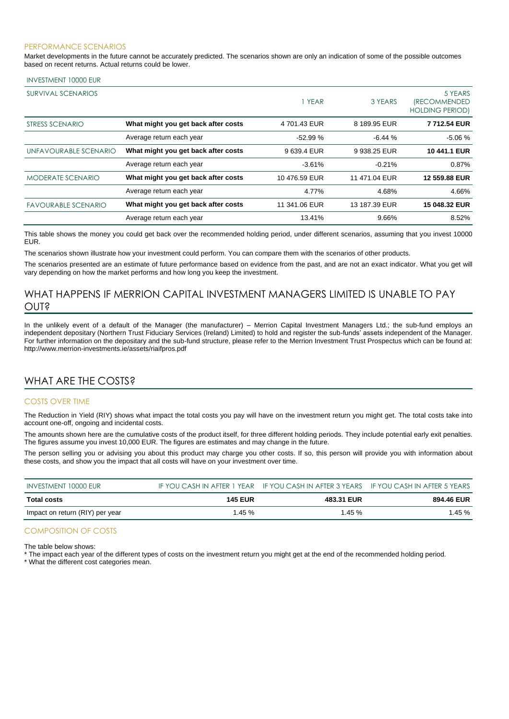#### PERFORMANCE SCENARIOS

Market developments in the future cannot be accurately predicted. The scenarios shown are only an indication of some of the possible outcomes based on recent returns. Actual returns could be lower.

#### INVESTMENT 10000 EUR

| <b>SURVIVAL SCENARIOS</b>  |                                     | 1 YEAR        | 3 YEARS       | 5 YEARS<br><i><b>IRECOMMENDED</b></i><br><b>HOLDING PERIOD)</b> |
|----------------------------|-------------------------------------|---------------|---------------|-----------------------------------------------------------------|
| STRESS SCENARIO            | What might you get back after costs | 4 701.43 EUR  | 8 189.95 EUR  | 7712.54 EUR                                                     |
|                            | Average return each year            | $-52.99%$     | $-6.44%$      | $-5.06%$                                                        |
| UNFAVOURABLE SCENARIO      | What might you get back after costs | 9639.4 EUR    | 9 938.25 EUR  | 10 441.1 EUR                                                    |
|                            | Average return each year            | $-3.61%$      | $-0.21%$      | 0.87%                                                           |
| <b>MODERATE SCENARIO</b>   | What might you get back after costs | 10476.59 EUR  | 11 471.04 EUR | 12 559.88 EUR                                                   |
|                            | Average return each year            | 4.77%         | 4.68%         | 4.66%                                                           |
| <b>FAVOURABLE SCENARIO</b> | What might you get back after costs | 11 341.06 EUR | 13 187.39 EUR | 15 048.32 EUR                                                   |
|                            | Average return each year            | 13.41%        | 9.66%         | 8.52%                                                           |

This table shows the money you could get back over the recommended holding period, under different scenarios, assuming that you invest 10000 EUR.

The scenarios shown illustrate how your investment could perform. You can compare them with the scenarios of other products.

The scenarios presented are an estimate of future performance based on evidence from the past, and are not an exact indicator. What you get will vary depending on how the market performs and how long you keep the investment.

# WHAT HAPPENS IF MERRION CAPITAL INVESTMENT MANAGERS LIMITED IS UNABLE TO PAY OUT?

In the unlikely event of a default of the Manager (the manufacturer) – Merrion Capital Investment Managers Ltd.; the sub-fund employs an independent depositary (Northern Trust Fiduciary Services (Ireland) Limited) to hold and register the sub-funds' assets independent of the Manager. For further information on the depositary and the sub-fund structure, please refer to the Merrion Investment Trust Prospectus which can be found at: http://www.merrion-investments.ie/assets/riaifpros.pdf

# WHAT ARE THE COSTS?

#### COSTS OVER TIME

The Reduction in Yield (RIY) shows what impact the total costs you pay will have on the investment return you might get. The total costs take into account one-off, ongoing and incidental costs.

The amounts shown here are the cumulative costs of the product itself, for three different holding periods. They include potential early exit penalties. The figures assume you invest 10,000 EUR. The figures are estimates and may change in the future.

The person selling you or advising you about this product may charge you other costs. If so, this person will provide you with information about these costs, and show you the impact that all costs will have on your investment over time.

| INVESTMENT 10000 EUR            |                | IF YOU CASH IN AFTER 1 YEAR IF YOU CASH IN AFTER 3 YEARS IF YOU CASH IN AFTER 5 YEARS |            |
|---------------------------------|----------------|---------------------------------------------------------------------------------------|------------|
| Total costs                     | <b>145 EUR</b> | 483.31 EUR                                                                            | 894.46 EUR |
| Impact on return (RIY) per year | $1.45 \%$      | 1.45%                                                                                 | 1.45 %     |

### COMPOSITION OF COSTS

The table below shows:

\* The impact each year of the different types of costs on the investment return you might get at the end of the recommended holding period.

\* What the different cost categories mean.